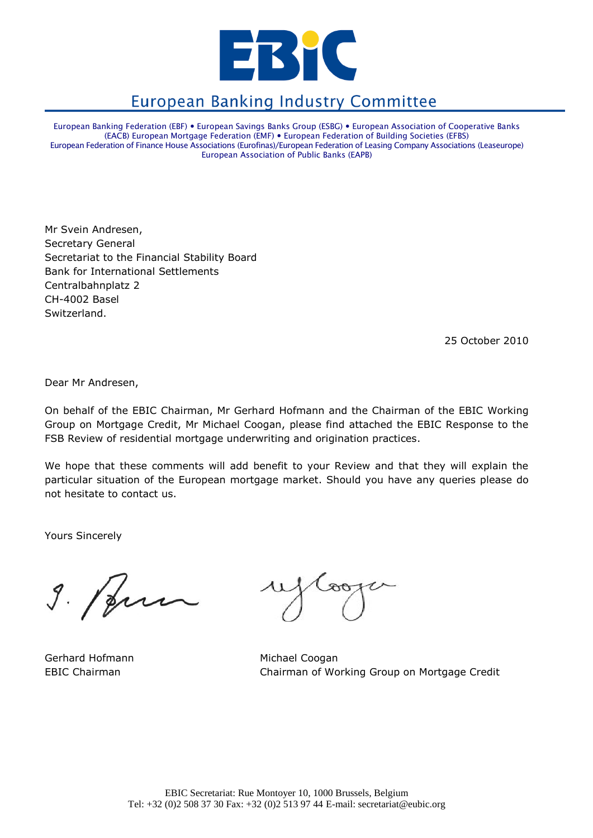

# **European Banking Industry Committee**

European Banking Federation (EBF) European Savings Banks Group (ESBG) European Association of Cooperative Banks (EACB) European Mortgage Federation (EMF) European Federation of Building Societies (EFBS) European Federation of Finance House Associations (Eurofinas)/European Federation of Leasing Company Associations (Leaseurope) European Association of Public Banks (EAPB)

Mr Svein Andresen, Secretary General Secretariat to the Financial Stability Board Bank for International Settlements Centralbahnplatz 2 CH-4002 Basel Switzerland.

25 October 2010

Dear Mr Andresen,

On behalf of the EBIC Chairman, Mr Gerhard Hofmann and the Chairman of the EBIC Working Group on Mortgage Credit, Mr Michael Coogan, please find attached the EBIC Response to the FSB Review of residential mortgage underwriting and origination practices.

We hope that these comments will add benefit to your Review and that they will explain the particular situation of the European mortgage market. Should you have any queries please do not hesitate to contact us.

Yours Sincerely

 $9.1$ pur

Gerhard Hofmann Michael Coogan

EBIC Chairman Chairman of Working Group on Mortgage Credit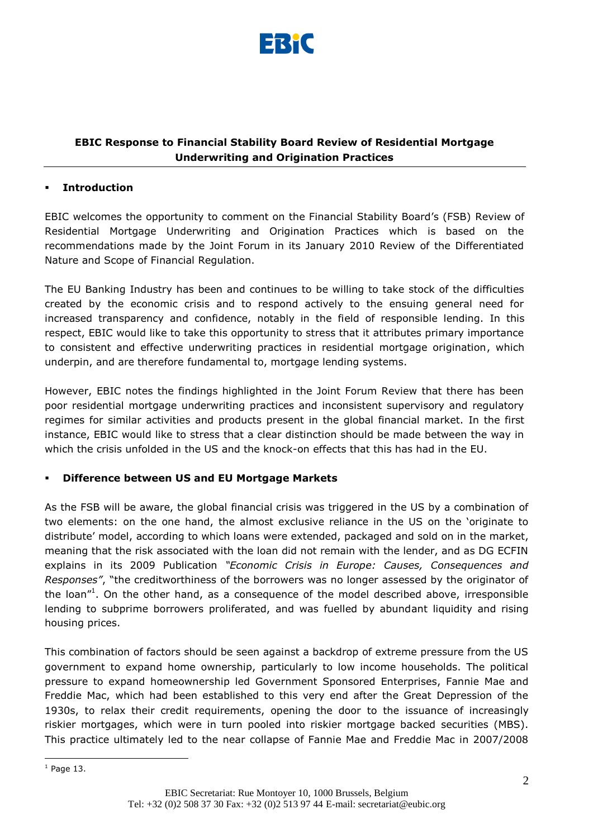

# **EBIC Response to Financial Stability Board Review of Residential Mortgage Underwriting and Origination Practices**

#### **Introduction**

EBIC welcomes the opportunity to comment on the Financial Stability Board"s (FSB) Review of Residential Mortgage Underwriting and Origination Practices which is based on the recommendations made by the Joint Forum in its January 2010 Review of the Differentiated Nature and Scope of Financial Regulation.

The EU Banking Industry has been and continues to be willing to take stock of the difficulties created by the economic crisis and to respond actively to the ensuing general need for increased transparency and confidence, notably in the field of responsible lending. In this respect, EBIC would like to take this opportunity to stress that it attributes primary importance to consistent and effective underwriting practices in residential mortgage origination, which underpin, and are therefore fundamental to, mortgage lending systems.

However, EBIC notes the findings highlighted in the Joint Forum Review that there has been poor residential mortgage underwriting practices and inconsistent supervisory and regulatory regimes for similar activities and products present in the global financial market. In the first instance, EBIC would like to stress that a clear distinction should be made between the way in which the crisis unfolded in the US and the knock-on effects that this has had in the EU.

## **Difference between US and EU Mortgage Markets**

As the FSB will be aware, the global financial crisis was triggered in the US by a combination of two elements: on the one hand, the almost exclusive reliance in the US on the "originate to distribute" model, according to which loans were extended, packaged and sold on in the market, meaning that the risk associated with the loan did not remain with the lender, and as DG ECFIN explains in its 2009 Publication *"Economic Crisis in Europe: Causes, Consequences and Responses"*, "the creditworthiness of the borrowers was no longer assessed by the originator of the loan"<sup>1</sup>. On the other hand, as a consequence of the model described above, irresponsible lending to subprime borrowers proliferated, and was fuelled by abundant liquidity and rising housing prices.

This combination of factors should be seen against a backdrop of extreme pressure from the US government to expand home ownership, particularly to low income households. The political pressure to expand homeownership led Government Sponsored Enterprises, Fannie Mae and Freddie Mac, which had been established to this very end after the Great Depression of the 1930s, to relax their credit requirements, opening the door to the issuance of increasingly riskier mortgages, which were in turn pooled into riskier mortgage backed securities (MBS). This practice ultimately led to the near collapse of Fannie Mae and Freddie Mac in 2007/2008

1

 $<sup>1</sup>$  Page 13.</sup>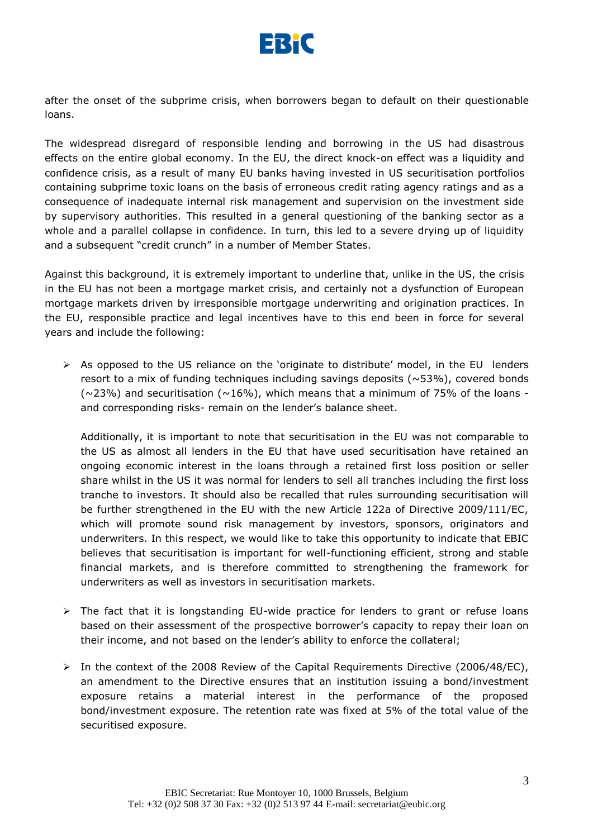

after the onset of the subprime crisis, when borrowers began to default on their questionable loans.

The widespread disregard of responsible lending and borrowing in the US had disastrous effects on the entire global economy. In the EU, the direct knock-on effect was a liquidity and confidence crisis, as a result of many EU banks having invested in US securitisation portfolios containing subprime toxic loans on the basis of erroneous credit rating agency ratings and as a consequence of inadequate internal risk management and supervision on the investment side by supervisory authorities. This resulted in a general questioning of the banking sector as a whole and a parallel collapse in confidence. In turn, this led to a severe drying up of liquidity and a subsequent "credit crunch" in a number of Member States.

Against this background, it is extremely important to underline that, unlike in the US, the crisis in the EU has not been a mortgage market crisis, and certainly not a dysfunction of European mortgage markets driven by irresponsible mortgage underwriting and origination practices. In the EU, responsible practice and legal incentives have to this end been in force for several years and include the following:

 $\triangleright$  As opposed to the US reliance on the 'originate to distribute' model, in the EU lenders resort to a mix of funding techniques including savings deposits  $(\sim 53\%)$ , covered bonds  $(\sim$ 23%) and securitisation ( $\sim$ 16%), which means that a minimum of 75% of the loans and corresponding risks- remain on the lender's balance sheet.

Additionally, it is important to note that securitisation in the EU was not comparable to the US as almost all lenders in the EU that have used securitisation have retained an ongoing economic interest in the loans through a retained first loss position or seller share whilst in the US it was normal for lenders to sell all tranches including the first loss tranche to investors. It should also be recalled that rules surrounding securitisation will be further strengthened in the EU with the new Article 122a of Directive 2009/111/EC, which will promote sound risk management by investors, sponsors, originators and underwriters. In this respect, we would like to take this opportunity to indicate that EBIC believes that securitisation is important for well-functioning efficient, strong and stable financial markets, and is therefore committed to strengthening the framework for underwriters as well as investors in securitisation markets.

- $\triangleright$  The fact that it is longstanding EU-wide practice for lenders to grant or refuse loans based on their assessment of the prospective borrower's capacity to repay their loan on their income, and not based on the lender"s ability to enforce the collateral;
- $\triangleright$  In the context of the 2008 Review of the Capital Requirements Directive (2006/48/EC), an amendment to the Directive ensures that an institution issuing a bond/investment exposure retains a material interest in the performance of the proposed bond/investment exposure. The retention rate was fixed at 5% of the total value of the securitised exposure.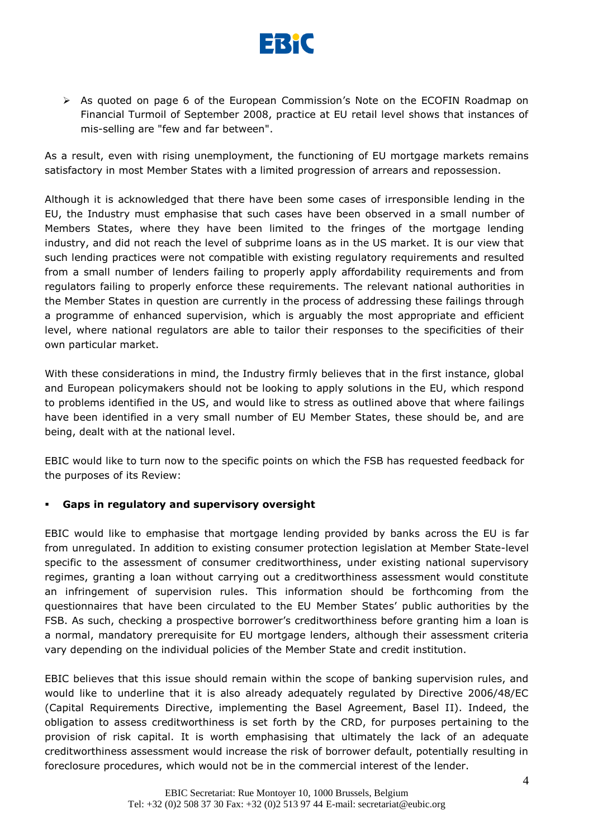

 $\triangleright$  As quoted on page 6 of the European Commission's Note on the ECOFIN Roadmap on Financial Turmoil of September 2008, practice at EU retail level shows that instances of mis-selling are "few and far between".

As a result, even with rising unemployment, the functioning of EU mortgage markets remains satisfactory in most Member States with a limited progression of arrears and repossession.

Although it is acknowledged that there have been some cases of irresponsible lending in the EU, the Industry must emphasise that such cases have been observed in a small number of Members States, where they have been limited to the fringes of the mortgage lending industry, and did not reach the level of subprime loans as in the US market. It is our view that such lending practices were not compatible with existing regulatory requirements and resulted from a small number of lenders failing to properly apply affordability requirements and from regulators failing to properly enforce these requirements. The relevant national authorities in the Member States in question are currently in the process of addressing these failings through a programme of enhanced supervision, which is arguably the most appropriate and efficient level, where national regulators are able to tailor their responses to the specificities of their own particular market.

With these considerations in mind, the Industry firmly believes that in the first instance, global and European policymakers should not be looking to apply solutions in the EU, which respond to problems identified in the US, and would like to stress as outlined above that where failings have been identified in a very small number of EU Member States, these should be, and are being, dealt with at the national level.

EBIC would like to turn now to the specific points on which the FSB has requested feedback for the purposes of its Review:

## **Gaps in regulatory and supervisory oversight**

EBIC would like to emphasise that mortgage lending provided by banks across the EU is far from unregulated. In addition to existing consumer protection legislation at Member State-level specific to the assessment of consumer creditworthiness, under existing national supervisory regimes, granting a loan without carrying out a creditworthiness assessment would constitute an infringement of supervision rules. This information should be forthcoming from the questionnaires that have been circulated to the EU Member States" public authorities by the FSB. As such, checking a prospective borrower"s creditworthiness before granting him a loan is a normal, mandatory prerequisite for EU mortgage lenders, although their assessment criteria vary depending on the individual policies of the Member State and credit institution.

EBIC believes that this issue should remain within the scope of banking supervision rules, and would like to underline that it is also already adequately regulated by Directive 2006/48/EC (Capital Requirements Directive, implementing the Basel Agreement, Basel II). Indeed, the obligation to assess creditworthiness is set forth by the CRD, for purposes pertaining to the provision of risk capital. It is worth emphasising that ultimately the lack of an adequate creditworthiness assessment would increase the risk of borrower default, potentially resulting in foreclosure procedures, which would not be in the commercial interest of the lender.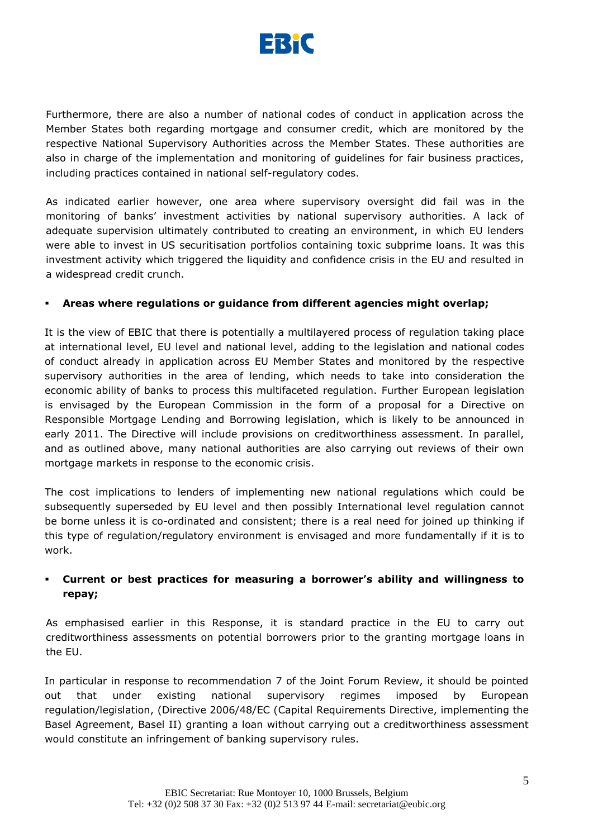

Furthermore, there are also a number of national codes of conduct in application across the Member States both regarding mortgage and consumer credit, which are monitored by the respective National Supervisory Authorities across the Member States. These authorities are also in charge of the implementation and monitoring of guidelines for fair business practices, including practices contained in national self-regulatory codes.

As indicated earlier however, one area where supervisory oversight did fail was in the monitoring of banks" investment activities by national supervisory authorities. A lack of adequate supervision ultimately contributed to creating an environment, in which EU lenders were able to invest in US securitisation portfolios containing toxic subprime loans. It was this investment activity which triggered the liquidity and confidence crisis in the EU and resulted in a widespread credit crunch.

#### **Areas where regulations or guidance from different agencies might overlap;**

It is the view of EBIC that there is potentially a multilayered process of regulation taking place at international level, EU level and national level, adding to the legislation and national codes of conduct already in application across EU Member States and monitored by the respective supervisory authorities in the area of lending, which needs to take into consideration the economic ability of banks to process this multifaceted regulation. Further European legislation is envisaged by the European Commission in the form of a proposal for a Directive on Responsible Mortgage Lending and Borrowing legislation, which is likely to be announced in early 2011. The Directive will include provisions on creditworthiness assessment. In parallel, and as outlined above, many national authorities are also carrying out reviews of their own mortgage markets in response to the economic crisis.

The cost implications to lenders of implementing new national regulations which could be subsequently superseded by EU level and then possibly International level regulation cannot be borne unless it is co-ordinated and consistent; there is a real need for joined up thinking if this type of regulation/regulatory environment is envisaged and more fundamentally if it is to work.

# **Current or best practices for measuring a borrower's ability and willingness to repay;**

As emphasised earlier in this Response, it is standard practice in the EU to carry out creditworthiness assessments on potential borrowers prior to the granting mortgage loans in the EU.

In particular in response to recommendation 7 of the Joint Forum Review, it should be pointed out that under existing national supervisory regimes imposed by European regulation/legislation, (Directive 2006/48/EC (Capital Requirements Directive, implementing the Basel Agreement, Basel II) granting a loan without carrying out a creditworthiness assessment would constitute an infringement of banking supervisory rules.